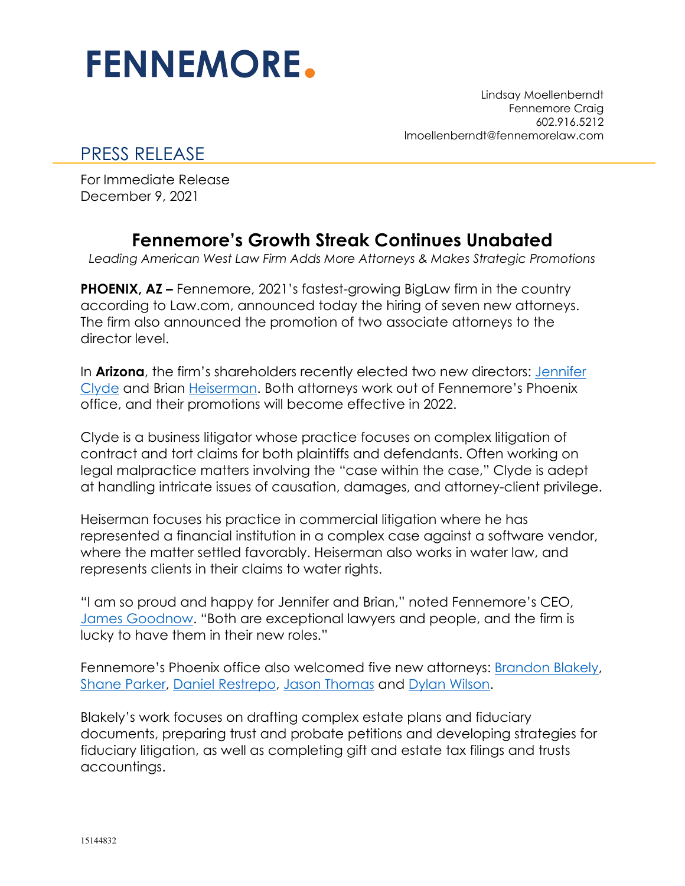## **FENNEMORE.**

Lindsay Moellenberndt Fennemore Craig 602.916.5212 lmoellenberndt@fennemorelaw.com

## PRESS RELEASE

For Immediate Release December 9, 2021

## **Fennemore's Growth Streak Continues Unabated**

*Leading American West Law Firm Adds More Attorneys & Makes Strategic Promotions*

**PHOENIX, AZ –** Fennemore, 2021's fastest-growing BigLaw firm in the country according to Law.com, announced today the hiring of seven new attorneys. The firm also announced the promotion of two associate attorneys to the director level.

In **Arizona**, the firm's shareholders recently elected two new directors: [Jennifer](https://www.fennemorelaw.com/people/attorneys/jennifer-l-clyde/)  [Clyde](https://www.fennemorelaw.com/people/attorneys/jennifer-l-clyde/) and Brian [Heiserman.](https://www.fennemorelaw.com/people/attorneys/brian-j-heiserman/) Both attorneys work out of Fennemore's Phoenix office, and their promotions will become effective in 2022.

Clyde is a business litigator whose practice focuses on complex litigation of contract and tort claims for both plaintiffs and defendants. Often working on legal malpractice matters involving the "case within the case," Clyde is adept at handling intricate issues of causation, damages, and attorney-client privilege.

Heiserman focuses his practice in commercial litigation where he has represented a financial institution in a complex case against a software vendor, where the matter settled favorably. Heiserman also works in water law, and represents clients in their claims to water rights.

"I am so proud and happy for Jennifer and Brian," noted Fennemore's CEO, [James Goodnow.](https://www.fennemorelaw.com/people/attorneys/e-j/goodnow-james) "Both are exceptional lawyers and people, and the firm is lucky to have them in their new roles."

Fennemore's Phoenix office also welcomed five new attorneys: [Brandon Blakely,](https://www.fennemorelaw.com/people/attorneys/brandon-l-blakely/) [Shane Parker,](https://www.fennemorelaw.com/people/attorneys/shane-parker/) [Daniel Restrepo,](https://www.fennemorelaw.com/people/attorneys/daniel-restrepo/) [Jason Thomas](https://www.fennemorelaw.com/people/attorneys/jason-k-thomas/) and [Dylan Wilson.](https://www.fennemorelaw.com/people/attorneys/dylan-wilson/)

Blakely's work focuses on drafting complex estate plans and fiduciary documents, preparing trust and probate petitions and developing strategies for fiduciary litigation, as well as completing gift and estate tax filings and trusts accountings.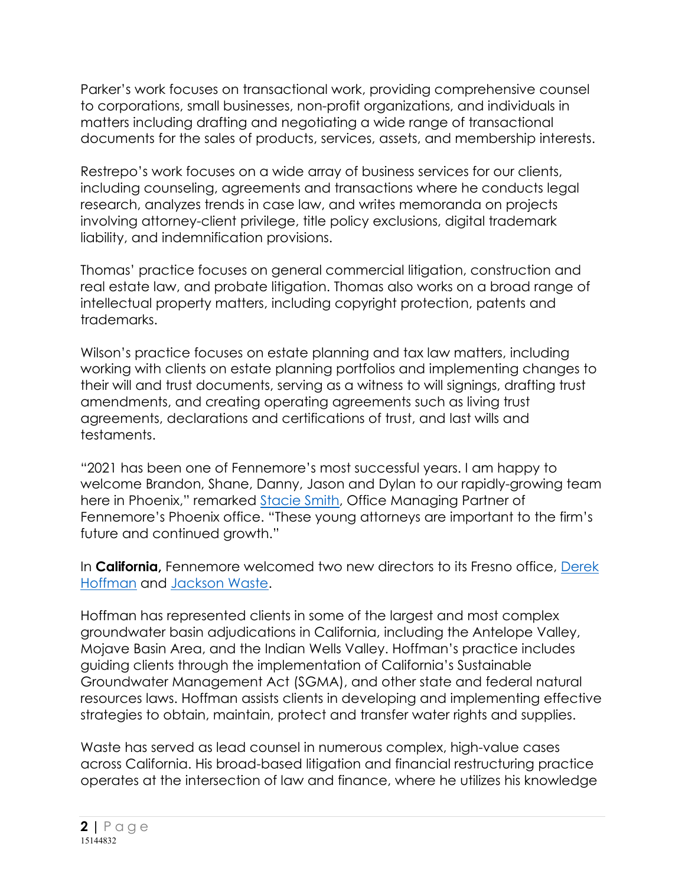Parker's work focuses on transactional work, providing comprehensive counsel to corporations, small businesses, non-profit organizations, and individuals in matters including drafting and negotiating a wide range of transactional documents for the sales of products, services, assets, and membership interests.

Restrepo's work focuses on a wide array of business services for our clients, including counseling, agreements and transactions where he conducts legal research, analyzes trends in case law, and writes memoranda on projects involving attorney-client privilege, title policy exclusions, digital trademark liability, and indemnification provisions.

Thomas' practice focuses on general commercial litigation, construction and real estate law, and probate litigation. Thomas also works on a broad range of intellectual property matters, including copyright protection, patents and trademarks.

Wilson's practice focuses on estate planning and tax law matters, including working with clients on estate planning portfolios and implementing changes to their will and trust documents, serving as a witness to will signings, drafting trust amendments, and creating operating agreements such as living trust agreements, declarations and certifications of trust, and last wills and testaments.

"2021 has been one of Fennemore's most successful years. I am happy to welcome Brandon, Shane, Danny, Jason and Dylan to our rapidly-growing team here in Phoenix," remarked [Stacie Smith,](https://www.fennemorelaw.com/people/attorneys/stacie-k-smith/) Office Managing Partner of Fennemore's Phoenix office. "These young attorneys are important to the firm's future and continued growth."

In **California,** Fennemore welcomed two new directors to its Fresno office, [Derek](https://www.fennemorelaw.com/people/attorneys/derek-hoffman/)  [Hoffman](https://www.fennemorelaw.com/people/attorneys/derek-hoffman/) and [Jackson Waste.](https://www.fennemorelaw.com/people/attorneys/j-jackson-waste/)

Hoffman has represented clients in some of the largest and most complex groundwater basin adjudications in California, including the Antelope Valley, Mojave Basin Area, and the Indian Wells Valley. Hoffman's practice includes guiding clients through the implementation of California's Sustainable Groundwater Management Act (SGMA), and other state and federal natural resources laws. Hoffman assists clients in developing and implementing effective strategies to obtain, maintain, protect and transfer water rights and supplies.

Waste has served as lead counsel in numerous complex, high-value cases across California. His broad-based litigation and financial restructuring practice operates at the intersection of law and finance, where he utilizes his knowledge